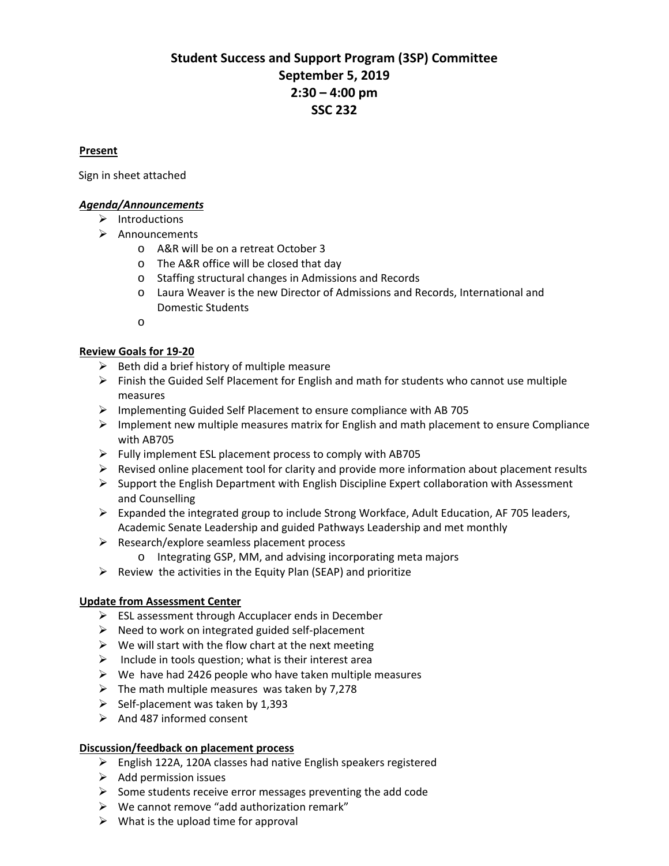# **Student Success and Support Program (3SP) Committee September 5, 2019 2:30 – 4:00 pm SSC 232**

### <sup>U</sup>**Present**

Sign in sheet attached

# <sup>U</sup>*Agenda/Announcements*

- $\triangleright$  Introductions
- $\triangleright$  Announcements
	- o A&R will be on a retreat October 3
	- o The A&R office will be closed that day
	- o Staffing structural changes in Admissions and Records
	- o Laura Weaver is the new Director of Admissions and Records, International and Domestic Students

o

# <sup>U</sup>**Review Goals for 19-20**

- $\triangleright$  Beth did a brief history of multiple measure
- $\triangleright$  Finish the Guided Self Placement for English and math for students who cannot use multiple measures
- $\triangleright$  Implementing Guided Self Placement to ensure compliance with AB 705
- $\triangleright$  Implement new multiple measures matrix for English and math placement to ensure Compliance with AB705
- $\triangleright$  Fully implement ESL placement process to comply with AB705
- $\triangleright$  Revised online placement tool for clarity and provide more information about placement results
- $\triangleright$  Support the English Department with English Discipline Expert collaboration with Assessment and Counselling
- $\triangleright$  Expanded the integrated group to include Strong Workface, Adult Education, AF 705 leaders, Academic Senate Leadership and guided Pathways Leadership and met monthly
- $\triangleright$  Research/explore seamless placement process
	- o Integrating GSP, MM, and advising incorporating meta majors
- $\triangleright$  Review the activities in the Equity Plan (SEAP) and prioritize

### <sup>U</sup>**Update from Assessment Center**

- $\triangleright$  ESL assessment through Accuplacer ends in December
- $\triangleright$  Need to work on integrated guided self-placement
- $\triangleright$  We will start with the flow chart at the next meeting
- $\triangleright$  Include in tools question; what is their interest area
- $\triangleright$  We have had 2426 people who have taken multiple measures
- $\triangleright$  The math multiple measures was taken by 7,278
- $\triangleright$  Self-placement was taken by 1,393
- $\triangleright$  And 487 informed consent

### <sup>U</sup>**Discussion/feedback on placement process**

- English 122A, 120A classes had native English speakers registered
- $\triangleright$  Add permission issues
- $\triangleright$  Some students receive error messages preventing the add code
- $\triangleright$  We cannot remove "add authorization remark"
- $\triangleright$  What is the upload time for approval